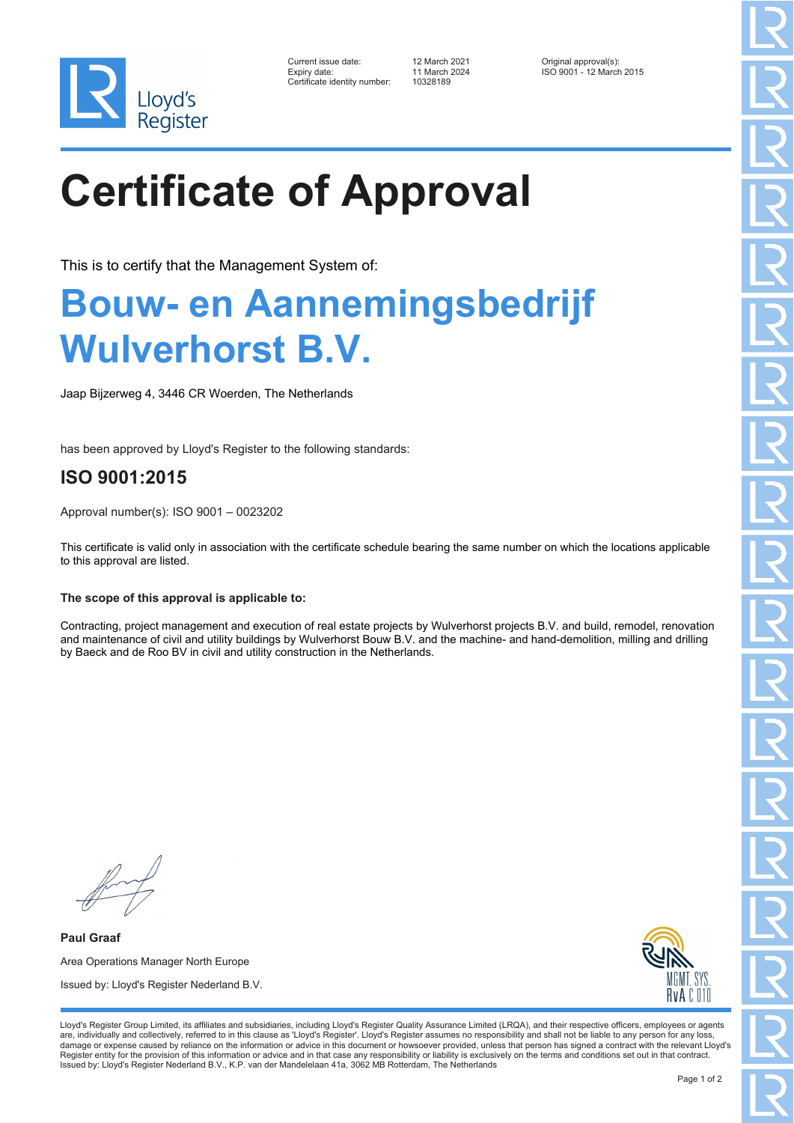

| Current issue date:         |
|-----------------------------|
| Expiry date:                |
| Certificate identity number |

Certificate identity number: 10328189

Current issue date: 12 March 2021 Original approval(s): Expiry date: 11 March 2024 ISO 9001 - 12 March 2015

# **Certificate of Approval**

This is to certify that the Management System of:

### **Bouw- en Aannemingsbedrijf Wulverhorst B.V.**

Jaap Bijzerweg 4, 3446 CR Woerden, The Netherlands

has been approved by Lloyd's Register to the following standards:

### **ISO 9001:2015**

Approval number(s): ISO 9001 – 0023202

This certificate is valid only in association with the certificate schedule bearing the same number on which the locations applicable to this approval are listed.

### **The scope of this approval is applicable to:**

Contracting, project management and execution of real estate projects by Wulverhorst projects B.V. and build, remodel, renovation and maintenance of civil and utility buildings by Wulverhorst Bouw B.V. and the machine- and hand-demolition, milling and drilling by Baeck and de Roo BV in civil and utility construction in the Netherlands.

**Paul Graaf** Area Operations Manager North Europe Issued by: Lloyd's Register Nederland B.V.



Lloyd's Register Group Limited, its affiliates and subsidiaries, including Lloyd's Register Quality Assurance Limited (LRQA), and their respective officers, employees or agents are, individually and collectively, referred to in this clause as 'Lloyd's Register'. Lloyd's Register assumes no responsibility and shall not be liable to any person for any loss,<br>damage or expense caused by reliance on t Register entity for the provision of this information or advice and in that case any responsibility or liability is exclusively on the terms and conditions set out in that contract. Issued by: Lloyd's Register Nederland B.V., K.P. van der Mandelelaan 41a, 3062 MB Rotterdam, The Netherlands